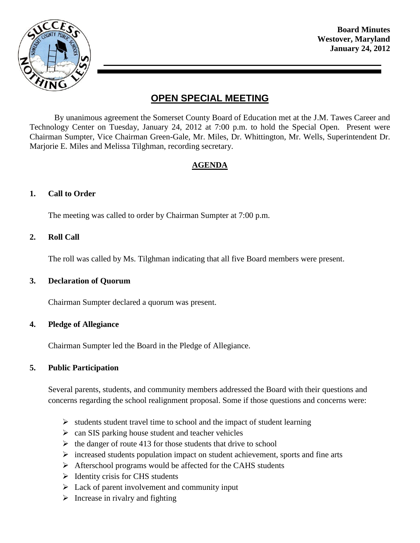

**Board Minutes Westover, Maryland January 24, 2012**

# **OPEN SPECIAL MEETING**

By unanimous agreement the Somerset County Board of Education met at the J.M. Tawes Career and Technology Center on Tuesday, January 24, 2012 at 7:00 p.m. to hold the Special Open. Present were Chairman Sumpter, Vice Chairman Green-Gale, Mr. Miles, Dr. Whittington, Mr. Wells, Superintendent Dr. Marjorie E. Miles and Melissa Tilghman, recording secretary.

# **AGENDA**

## **1. Call to Order**

The meeting was called to order by Chairman Sumpter at 7:00 p.m.

#### **2. Roll Call**

The roll was called by Ms. Tilghman indicating that all five Board members were present.

#### **3. Declaration of Quorum**

Chairman Sumpter declared a quorum was present.

#### **4. Pledge of Allegiance**

Chairman Sumpter led the Board in the Pledge of Allegiance.

#### **5. Public Participation**

Several parents, students, and community members addressed the Board with their questions and concerns regarding the school realignment proposal. Some if those questions and concerns were:

- $\triangleright$  students student travel time to school and the impact of student learning
- $\geq$  can SIS parking house student and teacher vehicles
- $\triangleright$  the danger of route 413 for those students that drive to school
- $\triangleright$  increased students population impact on student achievement, sports and fine arts
- $\triangleright$  Afterschool programs would be affected for the CAHS students
- $\triangleright$  Identity crisis for CHS students
- $\triangleright$  Lack of parent involvement and community input
- $\triangleright$  Increase in rivalry and fighting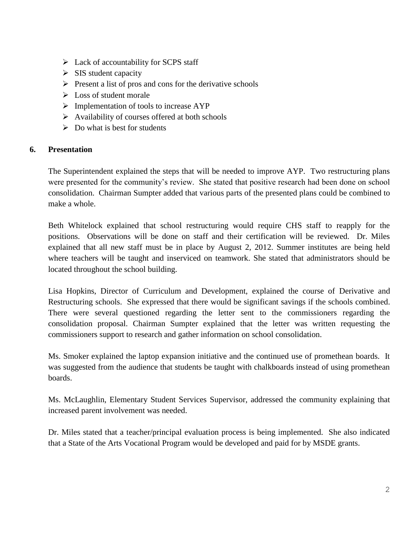- $\triangleright$  Lack of accountability for SCPS staff
- $\triangleright$  SIS student capacity
- $\triangleright$  Present a list of pros and cons for the derivative schools
- $\triangleright$  Loss of student morale
- $\triangleright$  Implementation of tools to increase AYP
- $\triangleright$  Availability of courses offered at both schools
- $\triangleright$  Do what is best for students

# **6. Presentation**

The Superintendent explained the steps that will be needed to improve AYP. Two restructuring plans were presented for the community's review. She stated that positive research had been done on school consolidation. Chairman Sumpter added that various parts of the presented plans could be combined to make a whole.

Beth Whitelock explained that school restructuring would require CHS staff to reapply for the positions. Observations will be done on staff and their certification will be reviewed. Dr. Miles explained that all new staff must be in place by August 2, 2012. Summer institutes are being held where teachers will be taught and inserviced on teamwork. She stated that administrators should be located throughout the school building.

Lisa Hopkins, Director of Curriculum and Development, explained the course of Derivative and Restructuring schools. She expressed that there would be significant savings if the schools combined. There were several questioned regarding the letter sent to the commissioners regarding the consolidation proposal. Chairman Sumpter explained that the letter was written requesting the commissioners support to research and gather information on school consolidation.

Ms. Smoker explained the laptop expansion initiative and the continued use of promethean boards. It was suggested from the audience that students be taught with chalkboards instead of using promethean boards.

Ms. McLaughlin, Elementary Student Services Supervisor, addressed the community explaining that increased parent involvement was needed.

Dr. Miles stated that a teacher/principal evaluation process is being implemented. She also indicated that a State of the Arts Vocational Program would be developed and paid for by MSDE grants.